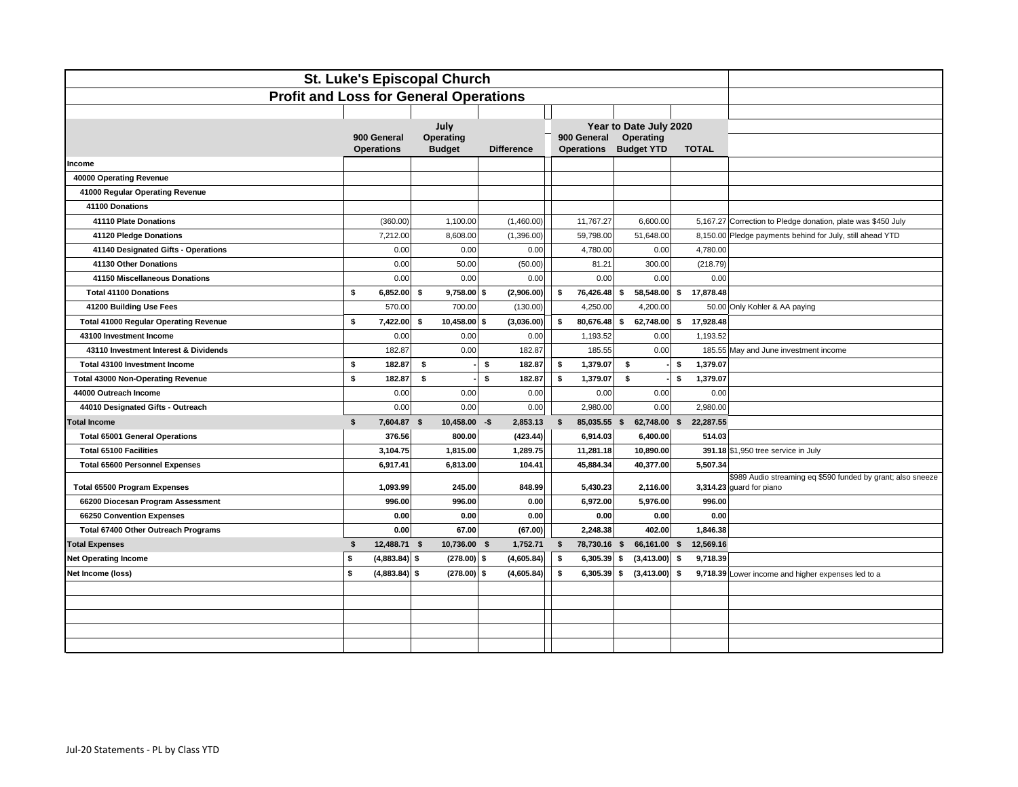| St. Luke's Episcopal Church                   |                                  |                                   |                   |                                  |                                |                 |                                                                                         |  |  |
|-----------------------------------------------|----------------------------------|-----------------------------------|-------------------|----------------------------------|--------------------------------|-----------------|-----------------------------------------------------------------------------------------|--|--|
| <b>Profit and Loss for General Operations</b> |                                  |                                   |                   |                                  |                                |                 |                                                                                         |  |  |
|                                               |                                  |                                   |                   |                                  |                                |                 |                                                                                         |  |  |
|                                               |                                  | July                              |                   |                                  | Year to Date July 2020         |                 |                                                                                         |  |  |
|                                               | 900 General<br><b>Operations</b> | <b>Operating</b><br><b>Budget</b> | <b>Difference</b> | 900 General<br><b>Operations</b> | Operating<br><b>Budget YTD</b> | <b>TOTAL</b>    |                                                                                         |  |  |
| Income                                        |                                  |                                   |                   |                                  |                                |                 |                                                                                         |  |  |
| 40000 Operating Revenue                       |                                  |                                   |                   |                                  |                                |                 |                                                                                         |  |  |
| 41000 Regular Operating Revenue               |                                  |                                   |                   |                                  |                                |                 |                                                                                         |  |  |
| 41100 Donations                               |                                  |                                   |                   |                                  |                                |                 |                                                                                         |  |  |
| 41110 Plate Donations                         | (360.00)                         | 1,100.00                          | (1,460.00)        | 11,767.27                        | 6,600.00                       |                 | 5,167.27 Correction to Pledge donation, plate was \$450 July                            |  |  |
| 41120 Pledge Donations                        | 7,212.00                         | 8,608.00                          | (1,396.00)        | 59,798.00                        | 51,648.00                      |                 | 8,150.00 Pledge payments behind for July, still ahead YTD                               |  |  |
| 41140 Designated Gifts - Operations           | 0.00                             | 0.00                              | 0.00              | 4,780.00                         | 0.00                           | 4,780.00        |                                                                                         |  |  |
| 41130 Other Donations                         | 0.00                             | 50.00                             | (50.00)           | 81.21                            | 300.00                         | (218.79)        |                                                                                         |  |  |
| 41150 Miscellaneous Donations                 | 0.00                             | 0.00                              | 0.00              | 0.00                             | 0.00                           | 0.00            |                                                                                         |  |  |
| <b>Total 41100 Donations</b>                  | \$<br>6,852.00                   | $9,758.00$ \$<br>- \$             | (2,906.00)        | \$<br>76,426.48                  | \$<br>58,548.00 \$             | 17,878.48       |                                                                                         |  |  |
| 41200 Building Use Fees                       | 570.00                           | 700.00                            | (130.00)          | 4,250.00                         | 4,200.00                       |                 | 50.00 Only Kohler & AA paying                                                           |  |  |
| <b>Total 41000 Regular Operating Revenue</b>  | \$<br>7,422.00                   | 10,458.00 \$<br>- \$              | (3,036.00)        | \$<br>80,676.48 \$               | 62,748.00                      | \$<br>17,928.48 |                                                                                         |  |  |
| 43100 Investment Income                       | 0.00                             | 0.00                              | 0.00              | 1,193.52                         | 0.00                           | 1,193.52        |                                                                                         |  |  |
| 43110 Investment Interest & Dividends         | 182.87                           | 0.00                              | 182.87            | 185.55                           | 0.00                           |                 | 185.55 May and June investment income                                                   |  |  |
| Total 43100 Investment Income                 | \$<br>182.87                     | \$                                | \$<br>182.87      | 1,379.07<br>\$                   | \$                             | 1,379.07<br>\$  |                                                                                         |  |  |
| <b>Total 43000 Non-Operating Revenue</b>      | \$<br>182.87                     | \$                                | s.<br>182.87      | \$<br>1,379.07                   | \$                             | 1,379.07<br>\$  |                                                                                         |  |  |
| 44000 Outreach Income                         | 0.00                             | 0.00                              | 0.00              | 0.00                             | 0.00                           | 0.00            |                                                                                         |  |  |
| 44010 Designated Gifts - Outreach             | 0.00                             | 0.00                              | 0.00              | 2,980.00                         | 0.00                           | 2,980.00        |                                                                                         |  |  |
| <b>Total Income</b>                           | \$<br>7,604.87 \$                | $10,458.00 - $$                   | 2,853.13          | $\sqrt{2}$<br>85,035.55 \$       | 62,748.00 \$                   | 22,287.55       |                                                                                         |  |  |
| <b>Total 65001 General Operations</b>         | 376.56                           | 800.00                            | (423.44)          | 6,914.03                         | 6,400.00                       | 514.03          |                                                                                         |  |  |
| <b>Total 65100 Facilities</b>                 | 3,104.75                         | 1,815.00                          | 1,289.75          | 11,281.18                        | 10,890.00                      |                 | 391.18 \$1,950 tree service in July                                                     |  |  |
| <b>Total 65600 Personnel Expenses</b>         | 6,917.41                         | 6,813.00                          | 104.41            | 45,884.34                        | 40,377.00                      | 5,507.34        |                                                                                         |  |  |
| <b>Total 65500 Program Expenses</b>           | 1,093.99                         | 245.00                            | 848.99            | 5,430.23                         | 2,116.00                       |                 | \$989 Audio streaming eq \$590 funded by grant; also sneeze<br>3,314.23 guard for piano |  |  |
| 66200 Diocesan Program Assessment             | 996.00                           | 996.00                            | 0.00              | 6,972.00                         | 5,976.00                       | 996.00          |                                                                                         |  |  |
| 66250 Convention Expenses                     | 0.00                             | 0.00                              | 0.00              | 0.00                             | 0.00                           | 0.00            |                                                                                         |  |  |
| Total 67400 Other Outreach Programs           | 0.00                             | 67.00                             | (67.00)           | 2,248.38                         | 402.00                         | 1,846.38        |                                                                                         |  |  |
| <b>Total Expenses</b>                         | \$<br>12,488.71 \$               | 10,736.00 \$                      | 1,752.71          | 78,730.16 \$<br>\$               | 66,161.00 \$                   | 12,569.16       |                                                                                         |  |  |
| <b>Net Operating Income</b>                   | s.<br>$(4,883.84)$ \$            | $(278.00)$ \$                     | (4,605.84)        | \$<br>$6,305.39$ \$              | $(3,413.00)$ \$                | 9,718.39        |                                                                                         |  |  |
| Net Income (loss)                             | \$<br>$(4,883.84)$ \$            | $(278.00)$ \$                     | (4,605.84)        | $6,305.39$ \$<br>\$              | (3, 413.00)                    | \$              | 9,718.39 Lower income and higher expenses led to a                                      |  |  |
|                                               |                                  |                                   |                   |                                  |                                |                 |                                                                                         |  |  |
|                                               |                                  |                                   |                   |                                  |                                |                 |                                                                                         |  |  |
|                                               |                                  |                                   |                   |                                  |                                |                 |                                                                                         |  |  |
|                                               |                                  |                                   |                   |                                  |                                |                 |                                                                                         |  |  |
|                                               |                                  |                                   |                   |                                  |                                |                 |                                                                                         |  |  |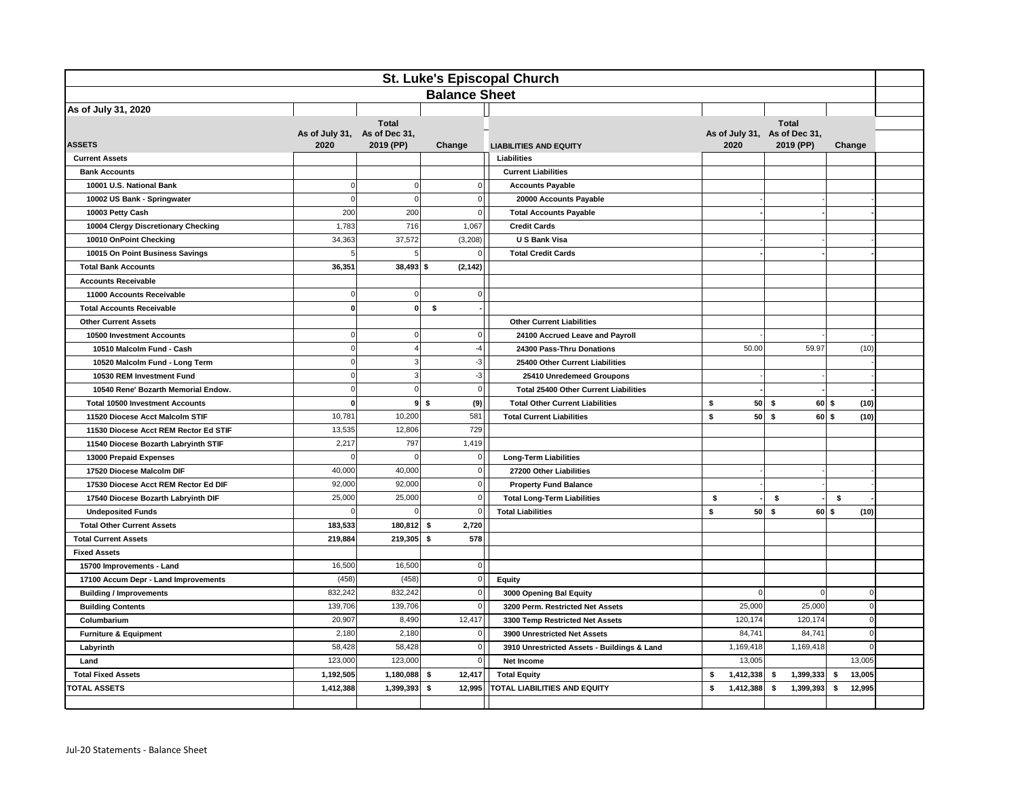| St. Luke's Episcopal Church                                       |                                      |                           |                                         |                                              |                                      |                              |              |  |
|-------------------------------------------------------------------|--------------------------------------|---------------------------|-----------------------------------------|----------------------------------------------|--------------------------------------|------------------------------|--------------|--|
| <b>Balance Sheet</b>                                              |                                      |                           |                                         |                                              |                                      |                              |              |  |
| As of July 31, 2020                                               |                                      |                           |                                         |                                              |                                      |                              |              |  |
| <b>ASSETS</b>                                                     | As of July 31, As of Dec 31,<br>2020 | <b>Total</b><br>2019 (PP) | Change<br><b>LIABILITIES AND EQUITY</b> |                                              | As of July 31, As of Dec 31,<br>2020 | <b>Total</b><br>2019 (PP)    | Change       |  |
| <b>Current Assets</b>                                             |                                      |                           |                                         | Liabilities                                  |                                      |                              |              |  |
| <b>Bank Accounts</b>                                              |                                      |                           |                                         | <b>Current Liabilities</b>                   |                                      |                              |              |  |
| 10001 U.S. National Bank                                          | $\Omega$                             | $\mathbf 0$               | $\Omega$                                | <b>Accounts Payable</b>                      |                                      |                              |              |  |
| 10002 US Bank - Springwater                                       | $\mathbf 0$                          | $\mathbf 0$               | $\Omega$                                | 20000 Accounts Payable                       |                                      |                              |              |  |
| 10003 Petty Cash                                                  | 200                                  | 200                       | 0                                       | <b>Total Accounts Payable</b>                |                                      |                              |              |  |
| 10004 Clergy Discretionary Checking                               | 1,783                                | 716                       | 1,067                                   | <b>Credit Cards</b>                          |                                      |                              |              |  |
| 10010 OnPoint Checking                                            | 34,363                               | 37,572                    | (3,208)                                 | U S Bank Visa                                |                                      |                              |              |  |
| 10015 On Point Business Savings                                   | 5                                    | 5                         | $\overline{0}$                          | <b>Total Credit Cards</b>                    |                                      |                              |              |  |
| <b>Total Bank Accounts</b>                                        | 36.351                               | $38,493$ \$               | (2, 142)                                |                                              |                                      |                              |              |  |
| <b>Accounts Receivable</b>                                        |                                      |                           |                                         |                                              |                                      |                              |              |  |
| 11000 Accounts Receivable                                         | $\Omega$                             | $\overline{0}$            | $\Omega$                                |                                              |                                      |                              |              |  |
| <b>Total Accounts Receivable</b>                                  | $\mathbf{0}$                         | $\mathbf{0}$              | \$                                      |                                              |                                      |                              |              |  |
| <b>Other Current Assets</b>                                       |                                      |                           |                                         | <b>Other Current Liabilities</b>             |                                      |                              |              |  |
| 10500 Investment Accounts                                         | $\Omega$                             | $\overline{0}$            | $\overline{0}$                          | 24100 Accrued Leave and Payroll              |                                      |                              |              |  |
| 10510 Malcolm Fund - Cash                                         | $\Omega$                             | $\overline{4}$            | $-4$                                    | 24300 Pass-Thru Donations                    | 50.00                                | 59.97                        | (10)         |  |
| 10520 Malcolm Fund - Long Term                                    | $\Omega$                             | 3                         | $-3$                                    | 25400 Other Current Liabilities              |                                      |                              |              |  |
| 10530 REM Investment Fund                                         |                                      | 3                         | $-3$                                    | 25410 Unredemeed Groupons                    |                                      |                              |              |  |
| 10540 Rene' Bozarth Memorial Endow.                               | $\mathbf 0$                          | $\mathbf 0$               | <sub>0</sub>                            | <b>Total 25400 Other Current Liabilities</b> |                                      |                              |              |  |
| <b>Total 10500 Investment Accounts</b>                            | $\mathbf 0$                          |                           | 95<br>(9)                               | <b>Total Other Current Liabilities</b>       | \$<br>50                             | \$<br>$60$ \$                | (10)         |  |
| 11520 Diocese Acct Malcolm STIF                                   | 10,781                               | 10,200                    | 581                                     | <b>Total Current Liabilities</b>             | \$<br>50 <sup> </sup>                | $\pmb{\mathsf{s}}$<br>$60$ s | (10)         |  |
| 11530 Diocese Acct REM Rector Ed STIF                             | 13,535                               | 12,806                    | 729                                     |                                              |                                      |                              |              |  |
| 11540 Diocese Bozarth Labryinth STIF                              | 2,217                                | 797                       | 1,419                                   |                                              |                                      |                              |              |  |
| 13000 Prepaid Expenses                                            |                                      | $\Omega$                  | $\overline{0}$                          | <b>Long-Term Liabilities</b>                 |                                      |                              |              |  |
| 17520 Diocese Malcolm DIF                                         | 40,000                               | 40,000                    | 0                                       | 27200 Other Liabilities                      |                                      |                              |              |  |
| 17530 Diocese Acct REM Rector Ed DIF                              | 92,000                               | 92,000                    | $\mathbf{0}$                            | <b>Property Fund Balance</b>                 |                                      |                              |              |  |
| 17540 Diocese Bozarth Labryinth DIF                               | 25,000                               | 25,000                    | $\mathbf{0}$                            | <b>Total Long-Term Liabilities</b>           | \$                                   | \$                           | \$           |  |
| <b>Undeposited Funds</b>                                          | $\Omega$                             | $\Omega$                  | $\Omega$                                | <b>Total Liabilities</b>                     | \$<br>50                             | \$<br>$60$ \$                | (10)         |  |
| <b>Total Other Current Assets</b>                                 | 183,533                              | 180,812                   | 2,720<br>\$<br>578                      |                                              |                                      |                              |              |  |
| <b>Total Current Assets</b>                                       | 219,884                              | 219,305                   | - 1                                     |                                              |                                      |                              |              |  |
| <b>Fixed Assets</b>                                               |                                      |                           | 0                                       |                                              |                                      |                              |              |  |
| 15700 Improvements - Land<br>17100 Accum Depr - Land Improvements | 16,500<br>(458)                      | 16,500<br>(458)           | <sub>0</sub>                            |                                              |                                      |                              |              |  |
| <b>Building / Improvements</b>                                    | 832,242                              | 832,242                   | <sub>0</sub>                            | Equity<br>3000 Opening Bal Equity            | $\Omega$                             | $\Omega$                     | $\Omega$     |  |
| <b>Building Contents</b>                                          | 139,706                              | 139,706                   | $\Omega$                                | 3200 Perm. Restricted Net Assets             | 25,000                               | 25,000                       | $\Omega$     |  |
| Columbarium                                                       | 20,907                               | 8,490                     | 12,417                                  | 3300 Temp Restricted Net Assets              | 120,174                              | 120,174                      | $\mathbf 0$  |  |
| <b>Furniture &amp; Equipment</b>                                  | 2,180                                | 2,180                     | $\overline{0}$                          | 3900 Unrestricted Net Assets                 | 84,741                               | 84,741                       | $\Omega$     |  |
| Labyrinth                                                         | 58,428                               | 58,428                    | 0                                       | 3910 Unrestricted Assets - Buildings & Land  | 1,169,418                            | 1,169,418                    | $\Omega$     |  |
| Land                                                              | 123,000                              | 123,000                   | 0                                       | Net Income                                   | 13,005                               |                              | 13,005       |  |
| <b>Total Fixed Assets</b>                                         | 1,192,505                            | 1,180,088                 | 12.417                                  | <b>Total Equity</b><br>s<br>1,412,338        |                                      | 1,399,333<br>\$              | s.<br>13.005 |  |
| <b>TOTAL ASSETS</b>                                               | 1,412,388                            | 1,399,393                 | 12,995<br>\$                            | TOTAL LIABILITIES AND EQUITY                 | \$<br>1,412,388                      | 1,399,393<br>\$              | \$<br>12,995 |  |
|                                                                   |                                      |                           |                                         |                                              |                                      |                              |              |  |
|                                                                   |                                      |                           |                                         |                                              |                                      |                              |              |  |